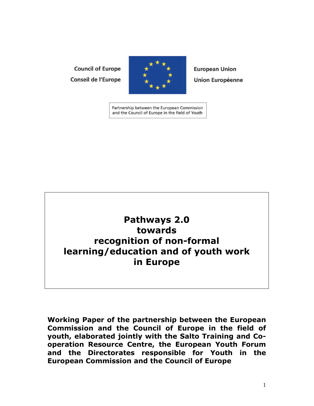## **Council of Europe Conseil de l'Europe**



**European Union Union Européenne** 

Partnership between the European Commission and the Council of Europe in the field of Youth

# **Pathways 2.0 towards recognition of non-formal learning/education and of youth work in Europe**

**Working Paper of the partnership between the European Commission and the Council of Europe in the field of youth, elaborated jointly with the Salto Training and Cooperation Resource Centre, the European Youth Forum and the Directorates responsible for Youth in the European Commission and the Council of Europe**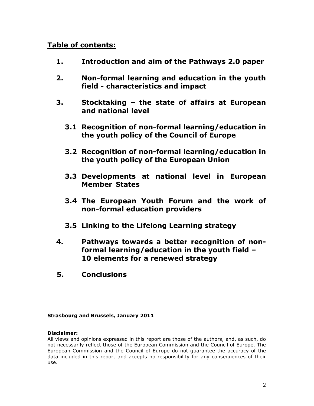## **Table of contents:**

- **1. Introduction and aim of the Pathways 2.0 paper**
- **2. Non-formal learning and education in the youth field - characteristics and impact**
- **3. Stocktaking the state of affairs at European and national level** 
	- **3.1 Recognition of non-formal learning/education in the youth policy of the Council of Europe**
	- **3.2 Recognition of non-formal learning/education in the youth policy of the European Union**
	- **3.3 Developments at national level in European Member States**
	- **3.4 The European Youth Forum and the work of non-formal education providers**
	- **3.5 Linking to the Lifelong Learning strategy**
- **4. Pathways towards a better recognition of non formal learning/education in the youth field – 10 elements for a renewed strategy**
- **5. Conclusions**

**Strasbourg and Brussels, January 2011** 

#### **Disclaimer:**

All views and opinions expressed in this report are those of the authors, and, as such, do not necessarily reflect those of the European Commission and the Council of Europe. The European Commission and the Council of Europe do not guarantee the accuracy of the data included in this report and accepts no responsibility for any consequences of their use.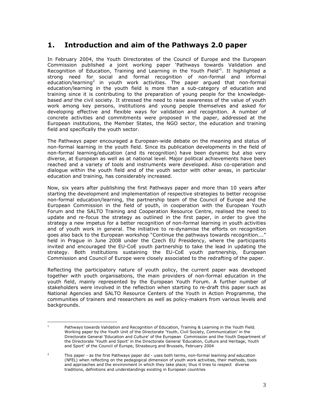## **1. Introduction and aim of the Pathways 2.0 paper**

In February 2004, the Youth Directorates of the Council of Europe and the European Commission published a joint working paper 'Pathways towards Validation and Recognition of Education, Training and Learning in the Youth Field<sup>11</sup>. It highlighted a strong need for social and formal recognition of non-formal and informal education/learning<sup>2</sup> in youth work activities. The paper argued that non-formal education/learning in the youth field is more than a sub-category of education and training since it is contributing to the preparation of young people for the knowledgebased *and* the civil society. It stressed the need to raise awareness of the value of youth work among key persons, institutions and young people themselves and asked for developing effective and flexible ways for validation and recognition. A number of concrete activities and commitments were proposed in the paper, addressed at the European institutions, the Member States, the NGO sector, the education and training field and specifically the youth sector.

The Pathways paper encouraged a European-wide debate on the meaning and status of non-formal learning in the youth field. Since its publication developments in the field of non-formal learning/education (and its recognition) have been dynamic but also very diverse, at European as well as at national level. Major political achievements have been reached and a variety of tools and instruments were developed. Also co-operation and dialogue within the youth field and of the youth sector with other areas, in particular education and training, has considerably increased.

Now, six years after publishing the first Pathways paper and more than 10 years after starting the development and implementation of respective strategies to better recognise non-formal education/learning, the partnership team of the Council of Europe and the European Commission in the field of youth, in cooperation with the European Youth Forum and the SALTO Training and Cooperation Resource Centre, realised the need to update and re-focus the strategy as outlined in the first paper, in order to give the strategy a new impetus for a better recognition of non-formal learning in youth activities and of youth work in general. The initiative to re-dynamise the efforts on recognition goes also back to the European workshop "Continue the pathways towards recognition…." held in Prague in June 2008 under the Czech EU Presidency, where the participants invited and encouraged the EU-CoE youth partnership to take the lead in updating the strategy. Both institutions sustaining the EU-CoE youth partnership, European Commission and Council of Europe were closely associated to the redrafting of the paper.

Reflecting the participatory nature of youth policy, the current paper was developed together with youth organisations, the main providers of non-formal education in the youth field, mainly represented by the European Youth Forum. A further number of stakeholders were involved in the reflection when starting to re-draft this paper such as National Agencies and SALTO Resource Centers of the Youth in Action Programme, the communities of trainers and researchers as well as policy-makers from various levels and backgrounds.

 $\frac{1}{1}$  Pathways towards Validation and Recognition of Education, Training & Learning in the Youth Field. Working paper by the Youth Unit of the Directorate 'Youth, Civil Society, Communication' in the Directorate General 'Education and Culture' of the European Commission and the Youth Department of the Directorate 'Youth and Sport' in the Directorate General 'Education, Culture and Heritage, Youth and Sport' of the Council of Europe, Strasbourg and Brussels, February 2004

<sup>2</sup> This paper - as the first Pathways paper did - uses both terms, non-formal learning *and* education (NFEL) when reflecting on the pedagogical dimension of youth work activities, their methods, tools and approaches and the environment in which they take place; thus it tries to respect diverse traditions, definitions and understandings existing in European countries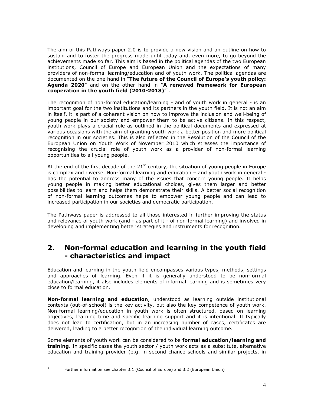The aim of this Pathways paper 2.0 is to provide a new vision and an outline on how to sustain and to foster the progress made until today and, even more, to go beyond the achievements made so far. This aim is based in the political agendas of the two European institutions, Council of Europe and European Union and the expectations of many providers of non-formal learning/education and of youth work. The political agendas are documented on the one hand in "**The future of the Council of Europe's youth policy: Agenda 2020**" and on the other hand in "**A renewed framework for European cooperation in the youth field (2010-2018)**" 3 .

The recognition of non-formal education/learning - and of youth work in general - is an important goal for the two institutions and its partners in the youth field. It is not an aim in itself, it is part of a coherent vision on how to improve the inclusion and well-being of young people in our society and empower them to be active citizens. In this respect, youth work plays a crucial role as outlined in the political documents and expressed at various occasions with the aim of granting youth work a better position and more political recognition in our societies. This is also reflected in the Resolution of the Council of the European Union on Youth Work of November 2010 which stresses the importance of recognising the crucial role of youth work as a provider of non-formal learning opportunities to all young people.

At the end of the first decade of the  $21<sup>st</sup>$  century, the situation of young people in Europe is complex and diverse. Non-formal learning and education – and youth work in general has the potential to address many of the issues that concern young people. It helps young people in making better educational choices, gives them larger and better possibilities to learn and helps them demonstrate their skills. A better social recognition of non-formal learning outcomes helps to empower young people and can lead to increased participation in our societies and democratic participation.

The Pathways paper is addressed to all those interested in further improving the status and relevance of youth work (and - as part of it - of non-formal learning) and involved in developing and implementing better strategies and instruments for recognition.

## **2. Non-formal education and learning in the youth field - characteristics and impact**

Education and learning in the youth field encompasses various types, methods, settings and approaches of learning. Even if it is generally understood to be non-formal education/learning, it also includes elements of informal learning and is sometimes very close to formal education.

**Non-formal learning and education**, understood as learning outside institutional contexts (out-of-school) is the key activity, but also the key competence of youth work. Non-formal learning/education in youth work is often structured, based on learning objectives, learning time and specific learning support and it is intentional. It typically does not lead to certification, but in an increasing number of cases, certificates are delivered, leading to a better recognition of the individual learning outcome.

Some elements of youth work can be considered to be **formal education/learning and training**. In specific cases the youth sector / youth work acts as a substitute, alternative education and training provider (e.g. in second chance schools and similar projects, in

-<br>3

Further information see chapter 3.1 (Council of Europe) and 3.2 (European Union)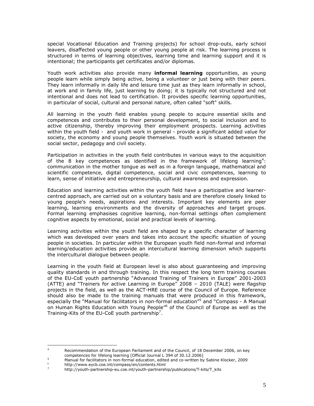special Vocational Education and Training projects) for school drop-outs, early school leavers, disaffected young people or other young people at risk. The learning process is structured in terms of learning objectives, learning time and learning support and it is intentional; the participants get certificates and/or diplomas.

Youth work activities also provide many **informal learning** opportunities, as young people learn while simply being active, being a volunteer or just being with their peers. They learn informally in daily life and leisure time just as they learn informally in school, at work and in family life, just learning by doing; it is typically not structured and not intentional and does not lead to certification. It provides specific learning opportunities, in particular of social, cultural and personal nature, often called "soft" skills.

All learning in the youth field enables young people to acquire essential skills and competences and contributes to their personal development, to social inclusion and to active citizenship, thereby improving their employment prospects. Learning activities within the youth field - and youth work in general - provide a significant added value for society, the economy and young people themselves. Youth work is situated between the social sector, pedagogy and civil society.

Participation in activities in the youth field contributes in various ways to the acquisition of the 8 key competences as identified in the framework of lifelong learning<sup>4</sup>: communication in the mother tongue as well as in a foreign language, mathematical and scientific competence, digital competence, social and civic competences, learning to learn, sense of initiative and entrepreneurship, cultural awareness and expression.

Education and learning activities within the youth field have a participative and learnercentred approach, are carried out on a voluntary basis and are therefore closely linked to young people's needs, aspirations and interests. Important key elements are peer learning, learning environments and the diversity of approaches and target groups. Formal learning emphasises cognitive learning, non-formal settings often complement cognitive aspects by emotional, social and practical levels of learning.

Learning activities within the youth field are shaped by a specific character of learning which was developed over years and takes into account the specific situation of young people in societies. In particular within the European youth field non-formal and informal learning/education activities provide an intercultural learning dimension which supports the intercultural dialogue between people.

Learning in the youth field at European level is also about guaranteeing and improving quality standards in and through training. In this respect the long term training courses of the EU-CoE youth partnership "Advanced Training of Trainers in Europe" 2001-2003 (ATTE) and "Trainers for active Learning in Europe" 2008 – 2010 (TALE) were flagship projects in the field, as well as the ACT-HRE course of the Council of Europe. Reference should also be made to the training manuals that were produced in this framework, especially the "Manual for facilitators in non-formal education"<sup>5</sup> and "Compass - A Manual on Human Rights Education with Young People<sup>r6</sup> of the Council of Europe as well as the Training-Kits of the EU-CoE youth partnership<sup>7</sup>.

 $\frac{1}{4}$  Recommendation of the European Parliament and of the Council, of 18 December 2006, on key competences for lifelong learning [Official Journal L 394 of 30.12.2006]

<sup>5</sup> Manual for facilitators in non-formal education, edited and co-written by Sabine Klocker, 2009 http://www.eycb.coe.int/compass/en/contents.html

<sup>7</sup> http://youth-partnership-eu.coe.int/youth-partnership/publications/T-kits/T\_kits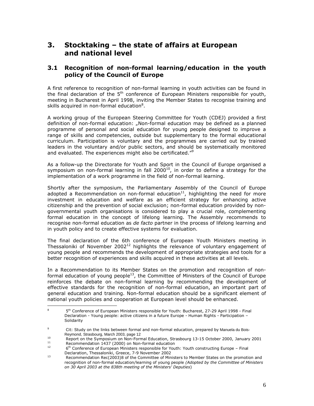## **3. Stocktaking – the state of affairs at European and national level**

#### **3.1 Recognition of non-formal learning/education in the youth policy of the Council of Europe**

A first reference to recognition of non-formal learning in youth activities can be found in the final declaration of the  $5<sup>th</sup>$  conference of European Ministers responsible for youth, meeting in Bucharest in April 1998, inviting the Member States to recognise training and skills acquired in non-formal education<sup>8</sup>.

A working group of the European Steering Committee for Youth (CDEJ) provided a first definition of non-formal education: "Non-formal education may be defined as a planned programme of personal and social education for young people designed to improve a range of skills and competencies, outside but supplementary to the formal educational curriculum. Participation is voluntary and the programmes are carried out by trained leaders in the voluntary and/or public sectors, and should be systematically monitored and evaluated. The experiences might also be certificated."<sup>9</sup>

As a follow-up the Directorate for Youth and Sport in the Council of Europe organised a symposium on non-formal learning in fall 2000 $10$ , in order to define a strategy for the implementation of a work programme in the field of non-formal learning.

Shortly after the symposium, the Parliamentary Assembly of the Council of Europe adopted a Recommendation on non-formal education<sup>11</sup>, highlighting the need for more investment in education and welfare as an efficient strategy for enhancing active citizenship and the prevention of social exclusion; non-formal education provided by nongovernmental youth organisations is considered to play a crucial role, complementing formal education in the concept of lifelong learning. The Assembly recommends to recognise non-formal education as *de facto* partner in the process of lifelong learning and in youth policy and to create effective systems for evaluation.

The final declaration of the 6th conference of European Youth Ministers meeting in Thessaloniki of November 2002<sup>12</sup> highlights the relevance of voluntary engagement of young people and recommends the development of appropriate strategies and tools for a better recognition of experiences and skills acquired in these activities at all levels.

In a Recommendation to its Member States on the promotion and recognition of nonformal education of young people<sup>13</sup>, the Committee of Ministers of the Council of Europe reinforces the debate on non-formal learning by recommending the development of effective standards for the recognition of non-formal education, an important part of general education and training. Non-formal education should be a significant element of national youth policies and cooperation at European level should be enhanced.

 $\frac{1}{8}$ 5<sup>th</sup> Conference of European Ministers responsible for Youth: Bucharest, 27-29 April 1998 - Final Declaration - Young people: active citizens in a future Europe - Human Rights - Participation – Solidarity

<sup>.&</sup>lt;br>9 Cit: Study on the links between formal and non-formal education, prepared by Manuela du Bois- Reymond, Strasbourg, March 2003, page 12

<sup>&</sup>lt;sup>10</sup> Report on the Symposium on Non-Formal Education, Strasbourg 13-15 October 2000, January 2001

<sup>&</sup>lt;sup>11</sup> Recommendation 1437 (2000) on Non-formal education  $\frac{11}{2}$  $6<sup>th</sup>$  Conference of European Ministers responsible for Youth: Youth constructing Europe – Final Declaration, Thessaloniki, Greece, 7-9 November 2002

Recommendation Rec(2003)8 of the Committee of Ministers to Member States on the promotion and recognition of non-formal education/learning of young people *(Adopted by the Committee of Ministers on 30 April 2003 at the 838th meeting of the Ministers' Deputies*)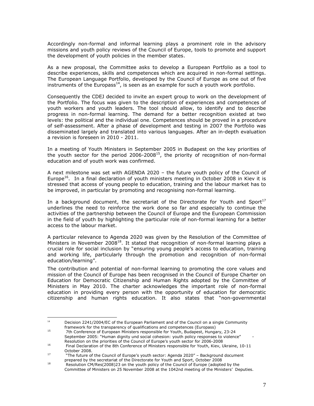Accordingly non-formal and informal learning plays a prominent role in the advisory missions and youth policy reviews of the Council of Europe, tools to promote and support the development of youth policies in the member states.

As a new proposal, the Committee asks to develop a European Portfolio as a tool to describe experiences, skills and competences which are acquired in non-formal settings. The European Language Portfolio, developed by the Council of Europe as one out of five instruments of the Europass<sup>14</sup>, is seen as an example for such a youth work portfolio.

Consequently the CDEJ decided to invite an expert group to work on the development of the Portfolio. The focus was given to the description of experiences and competences of youth workers and youth leaders. The tool should allow, to identify and to describe progress in non-formal learning. The demand for a better recognition existed at two levels: the political and the individual one. Competences should be proved in a procedure of self-assessment. After a phase of development and testing in 2007 the Portfolio was disseminated largely and translated into various languages. After an in-depth evaluation a revision is foreseen in 2010 - 2011.

In a meeting of Youth Ministers in September 2005 in Budapest on the key priorities of the youth sector for the period  $2006-2008<sup>15</sup>$ , the priority of recognition of non-formal education and of youth work was confirmed.

A next milestone was set with AGENDA 2020 – the future youth policy of the Council of Europe<sup>16</sup>. In a final declaration of youth ministers meeting in October 2008 in Kiev it is stressed that access of young people to education, training and the labour market has to be improved, in particular by promoting and recognising non-formal learning.

In a background document, the secretariat of the Directorate for Youth and Sport<sup>17</sup> underlines the need to reinforce the work done so far and especially to continue the activities of the partnership between the Council of Europe and the European Commission in the field of youth by highlighting the particular role of non-formal learning for a better access to the labour market.

A particular relevance to Agenda 2020 was given by the Resolution of the Committee of Ministers in November 2008<sup>18</sup>. It stated that recognition of non-formal learning plays a crucial role for social inclusion by "ensuring young people's access to education, training and working life, particularly through the promotion and recognition of non-formal education/learning".

The contribution and potential of non-formal learning to promoting the core values and mission of the Council of Europe has been recognised in the Council of Europe Charter on Education for Democratic Citizenship and Human Rights adopted by the Committee of Ministers in May 2010. The charter acknowledges the important role of non-formal education in providing every person with the opportunity of education for democratic citizenship and human rights education. It also states that "non-governmental

<sup>15</sup> 7th Conference of European Ministers responsible for Youth, Budapest, Hungary, 23-24 September 2005: "Human dignity und social cohesion: youth policy responses to violence" Resolution on the priorities of the Council of Europe's youth sector for 2006-2008

<sup>|&</sup>lt;br>|<br>|<br>| Decision 2241/2004/EC of the European Parliament and of the Council on a single Community framework for the transparency of qualifications and competences (Europass)

<sup>16</sup> Final Declaration of the 8th Conference of Ministers responsible for Youth, Kiev, Ukraine, 10-11 October 2008.

<sup>&</sup>quot;The future of the Council of Europe's youth sector: Agenda 2020" - Background document prepared by the secretariat of the Directorate for Youth and Sport, October 2008

<sup>18</sup> Resolution CM/Res(2008)23 on the youth policy of the Council of Europe (adopted by the Committee of Ministers on 25 November 2008 at the 1042nd meeting of the Ministers' Deputies.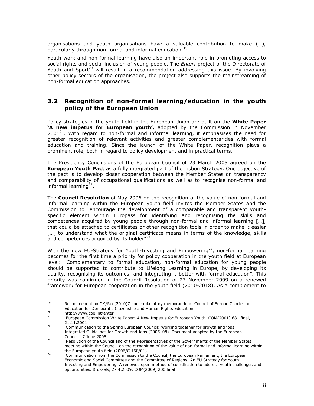organisations and youth organisations have a valuable contribution to make (…), particularly through non-formal and informal education"<sup>19</sup>.

Youth work and non-formal learning have also an important role in promoting access to social rights and social inclusion of young people. The *Enter!* project of the Directorate of Youth and Sport<sup>20</sup> will result in a recommendation addressing this issue. By involving other policy sectors of the organisation, the project also supports the mainstreaming of non-formal education approaches.

#### **3.2 Recognition of non-formal learning/education in the youth policy of the European Union**

Policy strategies in the youth field in the European Union are built on the **White Paper 'A new impetus for European youth',** adopted by the Commission in November  $2001^{21}$ . With regard to non-formal and informal learning, it emphasises the need for greater recognition of relevant activities and greater complementarities with formal education and training. Since the launch of the White Paper, recognition plays a prominent role, both in regard to policy development and in practical terms.

The Presidency Conclusions of the European Council of 23 March 2005 agreed on the **European Youth Pact** as a fully integrated part of the Lisbon Strategy. One objective of the pact is to develop closer cooperation between the Member States on transparency and comparability of occupational qualifications as well as to recognise non-formal and informal learning<sup>22</sup>.

The **Council Resolution** of May 2006 on the recognition of the value of non-formal and informal learning within the European youth field invites the Member States and the Commission to "encourage the development of a comparable and transparent youthspecific element within Europass for identifying and recognising the skills and competences acquired by young people through non-formal and informal learning […], that could be attached to certificates or other recognition tools in order to make it easier [...] to understand what the original certificate means in terms of the knowledge, skills and competences acquired by its holder"<sup>23</sup>.

With the new EU-Strategy for Youth-Investing and Empowering<sup>24</sup>, non-formal learning becomes for the first time a priority for policy cooperation in the youth field at European level: "Complementary to formal education, non-formal education for young people should be supported to contribute to Lifelong Learning in Europe, by developing its quality, recognising its outcomes, and integrating it better with formal education". This priority was confirmed in the Council Resolution of 27 November 2009 on a renewed framework for European cooperation in the youth field (2010-2018). As a complement to

 $\overline{a}$ 

<sup>19</sup> Recommendation CM/Rec(2010)7 and explanatory memorandum: Council of Europe Charter on Education for Democratic Citizenship and Human Rights Education<br>
<sup>20</sup>

 $20$  http://www.coe.int/enter<br> $21$  European Commission M

<sup>21</sup> European Commission White Paper: A New Impetus for European Youth. COM(2001) 681 final,  $21.11.2001$ 

Communication to the Spring European Council: Working together for growth and jobs. Integrated Guidelines for Growth and Jobs (2005–08). Document adopted by the European Council 17 June 2005.

Resolution of the Council and of the Representatives of the Governments of the Member States, meeting within the Council, on the recognition of the value of non-formal and informal learning within the European youth field (2006/C 168/01)

Communication from the Commission to the Council, the European Parliament, the European Economic and Social Committee and the Committee of Regions: An EU Strategy for Youth – Investing and Empowering. A renewed open method of coordination to address youth challenges and opportunities. Brussels, 27.4.2009. COM(2009) 200 final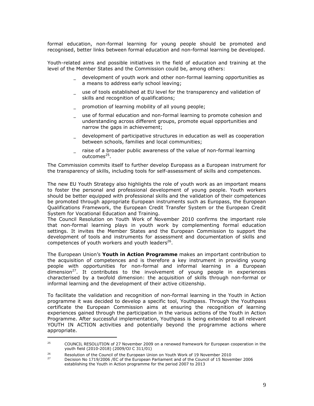formal education, non-formal learning for young people should be promoted and recognised, better links between formal education and non-formal learning be developed.

Youth-related aims and possible initiatives in the field of education and training at the level of the Member States and the Commission could be, among others:

- development of youth work and other non-formal learning opportunities as a means to address early school leaving;
- \_ use of tools established at EU level for the transparency and validation of skills and recognition of qualifications;
- promotion of learning mobility of all young people;
- \_ use of formal education and non-formal learning to promote cohesion and understanding across different groups, promote equal opportunities and narrow the gaps in achievement;
- \_ development of participative structures in education as well as cooperation between schools, families and local communities;
- raise of a broader public awareness of the value of non-formal learning outcomes<sup>25</sup>.

The Commission commits itself to further develop Europass as a European instrument for the transparency of skills, including tools for self-assessment of skills and competences.

The new EU Youth Strategy also highlights the role of youth work as an important means to foster the personal and professional development of young people. Youth workers should be better equipped with professional skills and the validation of their competences be promoted through appropriate European instruments such as Europass, the European Qualifications Framework, the European Credit Transfer System or the European Credit System for Vocational Education and Training.

The Council Resolution on Youth Work of November 2010 confirms the important role that non-formal learning plays in youth work by complementing formal education settings. It invites the Member States and the European Commission to support the development of tools and instruments for assessment and documentation of skills and competences of youth workers and youth leaders<sup>26</sup>.

The European Union's **Youth in Action Programme** makes an important contribution to the acquisition of competences and is therefore a key instrument in providing young people with opportunities for non-formal and informal learning in a European  $dimension<sup>27</sup>$ . It contributes to the involvement of young people in experiences characterised by a twofold dimension: the acquisition of skills through non-formal or informal learning and the development of their active citizenship.

To facilitate the validation and recognition of non-formal learning in the Youth in Action programme it was decided to develop a specific tool, Youthpass. Through the Youthpass certificate the European Commission aims at ensuring the recognition of learning experiences gained through the participation in the various actions of the Youth in Action Programme. After successful implementation, Youthpass is being extended to all relevant YOUTH IN ACTION activities and potentially beyond the programme actions where appropriate.

 $\ddot{\phantom{a}}$ 

<sup>&</sup>lt;sup>25</sup> COUNCIL RESOLUTION of 27 November 2009 on a renewed framework for European cooperation in the youth field (2010-2018) (2009/OJ C 311/01)

<sup>26</sup> <sup>26</sup><br>Resolution of the Council of the European Union on Youth Work of 19 November 2010 <sup>27</sup> Decision No 1719/2006 /EC of the European Parliament and of the Council of 15 November 2006 establishing the Youth in Action programme for the period 2007 to 2013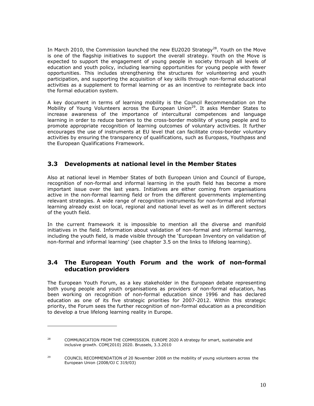In March 2010, the Commission launched the new EU2020 Strategy<sup>28</sup>. Youth on the Move is one of the flagship initiatives to support the overall strategy. Youth on the Move is expected to support the engagement of young people in society through all levels of education and youth policy, including learning opportunities for young people with fewer opportunities. This includes strengthening the structures for volunteering and youth participation, and supporting the acquisition of key skills through non-formal educational activities as a supplement to formal learning or as an incentive to reintegrate back into the formal education system.

A key document in terms of learning mobility is the Council Recommendation on the Mobility of Young Volunteers across the European Union<sup>29</sup>. It asks Member States to increase awareness of the importance of intercultural competences and language learning in order to reduce barriers to the cross-border mobility of young people and to promote appropriate recognition of learning outcomes of voluntary activities. It further encourages the use of instruments at EU level that can facilitate cross-border voluntary activities by ensuring the transparency of qualifications, such as Europass, Youthpass and the European Qualifications Framework.

#### **3.3 Developments at national level in the Member States**

Also at national level in Member States of both European Union and Council of Europe, recognition of non-formal and informal learning in the youth field has become a more important issue over the last years. Initiatives are either coming from organisations active in the non-formal learning field or from the different governments implementing relevant strategies. A wide range of recognition instruments for non-formal and informal learning already exist on local, regional and national level as well as in different sectors of the youth field.

In the current framework it is impossible to mention all the diverse and manifold initiatives in the field. Information about validation of non-formal and informal learning, including the youth field, is made visible through the 'European Inventory on validation of non-formal and informal learning' (see chapter 3.5 on the links to lifelong learning).

#### **3.4 The European Youth Forum and the work of non-formal education providers**

The European Youth Forum, as a key stakeholder in the European debate representing both young people and youth organisations as providers of non-formal education, has been working on recognition of non-formal education since 1996 and has declared education as one of its five strategic priorities for 2007-2012. Within this strategic priority, the Forum sees the further recognition of non-formal education as a precondition to develop a true lifelong learning reality in Europe.

 $\overline{a}$ 

<sup>&</sup>lt;sup>28</sup> COMMUNICATION FROM THE COMMISSION. EUROPE 2020 A strategy for smart, sustainable and inclusive growth. COM(2010) 2020. Brussels, 3.3.2010

<sup>&</sup>lt;sup>29</sup> COUNCIL RECOMMENDATION of 20 November 2008 on the mobility of young volunteers across the European Union (2008/OJ C 319/03)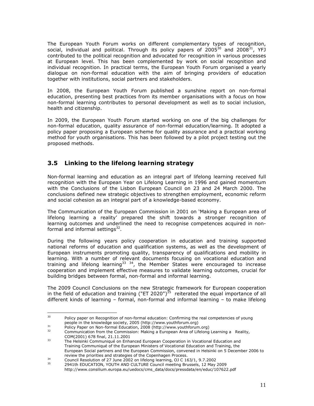The European Youth Forum works on different complementary types of recognition, social, individual and political. Through its policy papers of  $2005^{30}$  and  $2008^{31}$ , YFJ contributed to the political recognition and advocated for recognition in various processes at European level. This has been complemented by work on social recognition and individual recognition. In practical terms, the European Youth Forum organised a yearly dialogue on non-formal education with the aim of bringing providers of education together with institutions, social partners and stakeholders.

In 2008, the European Youth Forum published a sunshine report on non-formal education, presenting best practices from its member organisations with a focus on how non-formal learning contributes to personal development as well as to social inclusion, health and citizenship.

In 2009, the European Youth Forum started working on one of the big challenges for non-formal education, quality assurance of non-formal education/learning. It adopted a policy paper proposing a European scheme for quality assurance and a practical working method for youth organisations. This has been followed by a pilot project testing out the proposed methods.

#### **3.5 Linking to the lifelong learning strategy**

Non-formal learning and education as an integral part of lifelong learning received full recognition with the European Year on Lifelong Learning in 1996 and gained momentum with the Conclusions of the Lisbon European Council on 23 and 24 March 2000. The conclusions defined new strategic objectives to strengthen employment, economic reform and social cohesion as an integral part of a knowledge-based economy.

 The Communication of the European Commission in 2001 on 'Making a European area of lifelong learning a reality' prepared the shift towards a stronger recognition of learning outcomes and underlined the need to recognise competences acquired in non formal and informal settings<sup>32</sup>.

During the following years policy cooperation in education and training supported national reforms of education and qualification systems, as well as the development of European instruments promoting quality, transparency of qualifications and mobility in learning. With a number of relevant documents focusing on vocational education and training and lifelong learning<sup>33</sup><sup>34</sup>, the Member States were encouraged to increase cooperation and implement effective measures to validate learning outcomes, crucial for building bridges between formal, non-formal and informal learning.

The 2009 Council Conclusions on the new Strategic framework for European cooperation in the field of education and training ("ET 2020")<sup>35</sup> reiterated the equal importance of all different kinds of learning – formal, non-formal and informal learning – to make lifelong

<sup>30</sup> Policy paper on Recognition of non-formal education: Confirming the real competencies of young people in the knowledge society, 2005 (http://www.youthforum.org)

 $31$  Policy Paper on Non-formal Education, 2008 (http://www.youthforum.org)

Communication from the Commission: Making a European Area of Lifelong Learning a Reality, COM(2001) 678 final, 21.11.2001

The Helsinki Communiqué on Enhanced European Cooperation in Vocational Education and Training Communiqué of the European Ministers of Vocational Education and Training, the European Social partners and the European Commission, convened in Helsinki on 5 December 2006 to review the priorities and strategies of the Copenhagen Process.<br>
<sup>34</sup> Council Becalution of 27 June 2002 on lifelang learning, QJ G 14

<sup>&</sup>lt;sup>34</sup> Council Resolution of 27 June 2002 on lifelong learning, OJ C 163/1, 9.7.2002

<sup>35</sup> 2941th EDUCATION, YOUTH AND CULTURE Council meeting Brussels, 12 May 2009 http://www.consilium.europa.eu/uedocs/cms\_data/docs/pressdata/en/educ/107622.pdf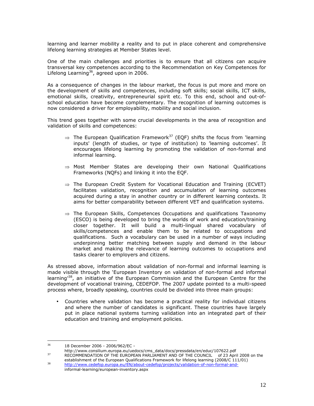learning and learner mobility a reality and to put in place coherent and comprehensive lifelong learning strategies at Member States level.

One of the main challenges and priorities is to ensure that all citizens can acquire transversal key competences according to the Recommendation on Key Competences for Lifelong Learning<sup>36</sup>, agreed upon in 2006.

As a consequence of changes in the labour market, the focus is put more and more on the development of skills and competences, including soft skills; social skills, ICT skills, emotional skills, creativity, entrepreneurial spirit etc. To this end, school and out-ofschool education have become complementary. The recognition of learning outcomes is now considered a driver for employability, mobility and social inclusion.

This trend goes together with some crucial developments in the area of recognition and validation of skills and competences:

- $\Rightarrow$  The European Qualification Framework<sup>37</sup> (EQF) shifts the focus from 'learning inputs' (length of studies, or type of institution) to 'learning outcomes'. It encourages lifelong learning by promoting the validation of non-formal and informal learning.
- $\Rightarrow$  Most Member States are developing their own National Qualifications Frameworks (NQFs) and linking it into the EQF.
- $\Rightarrow$  The European Credit System for Vocational Education and Training (ECVET) facilitates validation, recognition and accumulation of learning outcomes acquired during a stay in another country or in different learning contexts. It aims for better comparability between different VET and qualification systems.
- $\Rightarrow$  The European Skills, Competences Occupations and qualifications Taxonomy (ESCO) is being developed to bring the worlds of work and education/training closer together. It will build a multi-lingual shared vocabulary of skills/competences and enable them to be related to occupations and qualifications. Such a vocabulary can be used in a number of ways including underpinning better matching between supply and demand in the labour market and making the relevance of learning outcomes to occupations and tasks clearer to employers and citizens.

As stressed above, information about validation of non-formal and informal learning is made visible through the 'European Inventory on validation of non-formal and informal learning<sup>38</sup>, an initiative of the European Commission and the European Centre for the development of vocational training, CEDEFOP. The 2007 update pointed to a multi-speed process where, broadly speaking, countries could be divided into three main groups:

• Countries where validation has become a practical reality for individual citizens and where the number of candidates is significant. These countries have largely put in place national systems turning validation into an integrated part of their education and training and employment policies.

 $36$ <sup>36</sup> 18 December 2006 - 2006/962/EC -

http://www.consilium.europa.eu/uedocs/cms\_data/docs/pressdata/en/educ/107622.pdf 37 RECOMMENDATION OF THE EUROPEAN PARLIAMENT AND OF THE COUNCIL of 23 April 2008 on the

establishment of the European Qualifications Framework for lifelong learning (2008/C 111/01) http://www.cedefop.europa.eu/EN/about-cedefop/projects/validation-of-non-formal-andinformal-learning/european-inventory.aspx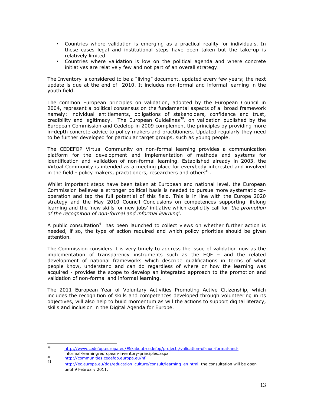- Countries where validation is emerging as a practical reality for individuals. In these cases legal and institutional steps have been taken but the take-up is relatively limited.
- Countries where validation is low on the political agenda and where concrete initiatives are relatively few and not part of an overall strategy.

The Inventory is considered to be a "living" document, updated every few years; the next update is due at the end of 2010. It includes non-formal and informal learning in the youth field.

The common European principles on validation, adopted by the European Council in 2004, represent a political consensus on the fundamental aspects of a broad framework namely: individual entitlements, obligations of stakeholders, confidence and trust, credibility and legitimacy. The European Guidelines<sup>39</sup>. on validation published by the European Commission and Cedefop in 2009 complement the principles by providing more in-depth concrete advice to policy makers and practitioners. Updated regularly they need to be further developed for particular target groups, such as young people.

The CEDEFOP Virtual Community on non-formal learning provides a communication platform for the development and implementation of methods and systems for identification and validation of non-formal learning. Established already in 2003, the Virtual Community is intended as a meeting place for everybody interested and involved in the field - policy makers, practitioners, researchers and others<sup>40</sup>.

Whilst important steps have been taken at European and national level, the European Commission believes a stronger political basis is needed to pursue more systematic cooperation and tap the full potential of this field. This is in line with the Europe 2020 strategy and the May 2010 Council Conclusions on competences supporting lifelong learning and the 'new skills for new jobs' initiative which explicitly call for *'the promotion of the recognition of non-formal and informal learning*'.

A public consultation<sup>41</sup> has been launched to collect views on whether further action is needed, if so, the type of action required and which policy priorities should be given attention.

The Commission considers it is very timely to address the issue of validation now as the implementation of transparency instruments such as the EQF – and the related development of national frameworks which describe qualifications in terms of what people know, understand and can do regardless of where or how the learning was acquired - provides the scope to develop an integrated approach to the promotion and validation of non-formal and informal learning.

The 2011 European Year of Voluntary Activities Promoting Active Citizenship, which includes the recognition of skills and competences developed through volunteering in its objectives, will also help to build momentum as will the actions to support digital literacy, skills and inclusion in the Digital Agenda for Europe.

<sup>-&</sup>lt;br>39 http://www.cedefop.europa.eu/EN/about-cedefop/projects/validation-of-non-formal-and informal-learning/european-inventory-principles.aspx

<sup>40</sup> http://communities.cedefop.europa.eu/nfl 41

http://ec.europa.eu/dqs/education\_culture/consult/learning\_en.html, the consultation will be open until 9 February 2011.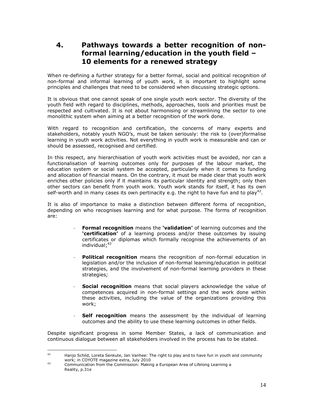## **4. Pathways towards a better recognition of non formal learning/education in the youth field – 10 elements for a renewed strategy**

When re-defining a further strategy for a better formal, social and political recognition of non-formal and informal learning of youth work, it is important to highlight some principles and challenges that need to be considered when discussing strategic options.

It is obvious that one cannot speak of one single youth work sector. The diversity of the youth field with regard to disciplines, methods, approaches, tools and priorities must be respected and cultivated. It is not about harmonising or streamlining the sector to one monolithic system when aiming at a better recognition of the work done.

With regard to recognition and certification, the concerns of many experts and stakeholders, notably youth NGO's, must be taken seriously: the risk to (over)formalise learning in youth work activities. Not everything in youth work is measurable and can or should be assessed, recognised and certified.

In this respect, any hierarchisation of youth work activities must be avoided, nor can a functionalisation of learning outcomes only for purposes of the labour market, the education system or social system be accepted, particularly when it comes to funding and allocation of financial means. On the contrary, it must be made clear that youth work enriches other policies only if it maintains its particular identity and strength; only then other sectors can benefit from youth work. Youth work stands for itself, it has its own self-worth and in many cases its own pertinacity e.g. the right to have fun and to play<sup>42</sup>.

It is also of importance to make a distinction between different forms of recognition, depending on who recognises learning and for what purpose. The forms of recognition are:

- **Formal recognition** means the **'validation'** of learning outcomes and the **'certification'** of a learning process and/or these outcomes by issuing certificates or diplomas which formally recognise the achievements of an individual; $43$
- **Political recognition** means the recognition of non-formal education in legislation and/or the inclusion of non-formal learning/education in political strategies, and the involvement of non-formal learning providers in these strategies*;*
- **Social recognition** means that social players acknowledge the value of competences acquired in non-formal settings and the work done within these activities, including the value of the organizations providing this work;
- **Self recognition** means the assessment by the individual of learning outcomes and the ability to use these learning outcomes in other fields.

Despite significant progress in some Member States, a lack of communication and continuous dialogue between all stakeholders involved in the process has to be stated.

 $42$ Hanjo Schild, Loreta Senkute, Jan Vanhee: The right to play and to have fun in youth and community work; in COYOTE magazine extra, July 2010

<sup>43</sup> Communication from the Commission: Making a European Area of Lifelong Learning a Reality, p.31e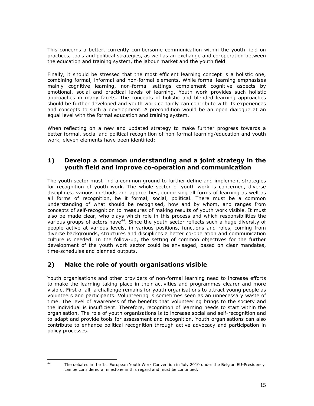This concerns a better, currently cumbersome communication within the youth field on practices, tools and political strategies, as well as an exchange and co-operation between the education and training system, the labour market and the youth field.

Finally, it should be stressed that the most efficient learning concept is a holistic one, combining formal, informal and non-formal elements. While formal learning emphasises mainly cognitive learning, non-formal settings complement cognitive aspects by emotional, social and practical levels of learning. Youth work provides such holistic approaches in many facets. The concepts of holistic and blended learning approaches should be further developed and youth work certainly can contribute with its experiences and concepts to such a development. A precondition would be an open dialogue at an equal level with the formal education and training system.

When reflecting on a new and updated strategy to make further progress towards a better formal, social and political recognition of non-formal learning/education and youth work, eleven elements have been identified:

#### **1) Develop a common understanding and a joint strategy in the youth field and improve co-operation and communication**

The youth sector must find a common ground to further define and implement strategies for recognition of youth work. The whole sector of youth work is concerned, diverse disciplines, various methods and approaches, comprising all forms of learning as well as all forms of recognition, be it formal, social, political. There must be a common understanding of what should be recognised, how and by whom, and ranges from concepts of self-recognition to measures of making results of youth work visible. It must also be made clear, who plays which role in this process and which responsibilities the various groups of actors have<sup>44</sup>. Since the youth sector reflects such a huge diversity of people active at various levels, in various positions, functions and roles, coming from diverse backgrounds, structures and disciplines a better co-operation and communication culture is needed. In the follow-up, the setting of common objectives for the further development of the youth work sector could be envisaged, based on clear mandates, time-schedules and planned outputs.

## **2) Make the role of youth organisations visible**

Youth organisations and other providers of non-formal learning need to increase efforts to make the learning taking place in their activities and programmes clearer and more visible. First of all, a challenge remains for youth organisations to attract young people as volunteers and participants. Volunteering is sometimes seen as an unnecessary waste of time. The level of awareness of the benefits that volunteering brings to the society and the individual is insufficient. Therefore, recognition of learning needs to start within the organisation. The role of youth organisations is to increase social and self-recognition and to adapt and provide tools for assessment and recognition. Youth organisations can also contribute to enhance political recognition through active advocacy and participation in policy processes.

 $44$ 

<sup>44</sup> The debates in the 1st European Youth Work Convention in July 2010 under the Belgian EU-Presidency can be considered a milestone in this regard and must be continued.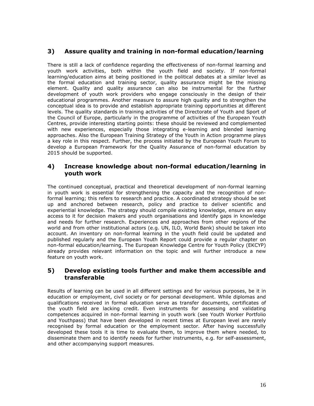#### **3) Assure quality and training in non-formal education/learning**

There is still a lack of confidence regarding the effectiveness of non-formal learning and youth work activities, both within the youth field and society. If non-formal learning/education aims at being positioned in the political debates at a similar level as the formal education and training sector, quality assurance might be the missing element. Quality and quality assurance can also be instrumental for the further development of youth work providers who engage consciously in the design of their educational programmes. Another measure to assure high quality and to strengthen the conceptual idea is to provide and establish appropriate training opportunities at different levels. The quality standards in training activities of the Directorate of Youth and Sport of the Council of Europe, particularly in the programme of activities of the European Youth Centres, provide interesting starting points: these should be reviewed and complemented with new experiences, especially those integrating e-learning and blended learning approaches. Also the European Training Strategy of the Youth in Action programme plays a key role in this respect. Further, the process initiated by the European Youth Forum to develop a European Framework for the Quality Assurance of non-formal education by 2015 should be supported.

#### **4) Increase knowledge about non-formal education/learning in youth work**

The continued conceptual, practical and theoretical development of non-formal learning in youth work is essential for strengthening the capacity and the recognition of nonformal learning; this refers to research and practice. A coordinated strategy should be set up and anchored between research, policy and practice to deliver scientific and experiential knowledge. The strategy should compile existing knowledge, ensure an easy access to it for decision makers and youth organisations and identify gaps in knowledge and needs for further research. Experiences and approaches from other regions of the world and from other institutional actors (e.g. UN, ILO, World Bank) should be taken into account. An inventory on non-formal learning in the youth field could be updated and published regularly and the European Youth Report could provide a regular chapter on non-formal education/learning. The European Knowledge Centre for Youth Policy (EKCYP) already provides relevant information on the topic and will further introduce a new feature on youth work.

#### **5) Develop existing tools further and make them accessible and transferable**

Results of learning can be used in all different settings and for various purposes, be it in education or employment, civil society or for personal development. While diplomas and qualifications received in formal education serve as transfer documents, certificates of the youth field are lacking credit. Even instruments for assessing and validating competences acquired in non-formal learning in youth work (see Youth Worker Portfolio and Youthpass) that have been developed in recent times at European level are rarely recognised by formal education or the employment sector. After having successfully developed these tools it is time to evaluate them, to improve them where needed, to disseminate them and to identify needs for further instruments, e.g. for self-assessment, and other accompanying support measures.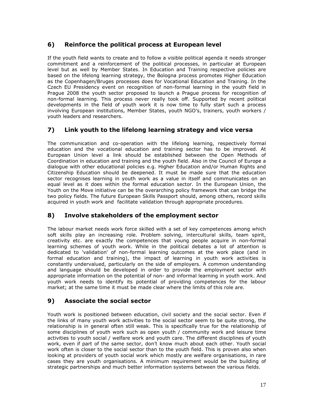## **6) Reinforce the political process at European level**

If the youth field wants to create and to follow a visible political agenda it needs stronger commitment and a reinforcement of the political processes, in particular at European level but as well by Member States. In Education and Training respective policies are based on the lifelong learning strategy, the Bologna process promotes Higher Education as the Copenhagen/Bruges processes does for Vocational Education and Training. In the Czech EU Presidency event on recognition of non-formal learning in the youth field in Prague 2008 the youth sector proposed to launch a Prague process for recognition of non-formal learning. This process never really took off. Supported by recent political developments in the field of youth work it is now time to fully start such a process involving European institutions, Member States, youth NGO's, trainers, youth workers / youth leaders and researchers.

## **7) Link youth to the lifelong learning strategy and vice versa**

The communication and co-operation with the lifelong learning, respectively formal education and the vocational education and training sector has to be improved. At European Union level a link should be established between the Open Methods of Coordination in education and training and the youth field. Also in the Council of Europe a dialogue with other educational policies e.g. Higher Education and/or Human Rights and Citizenship Education should be deepened. It must be made sure that the education sector recognises learning in youth work as a value in itself and communicates on an equal level as it does within the formal education sector. In the European Union, the Youth on the Move initiative can be the overarching policy framework that can bridge the two policy fields. The future European Skills Passport should, among others, record skills acquired in youth work and facilitate validation through appropriate procedures.

## **8) Involve stakeholders of the employment sector**

The labour market needs work force skilled with a set of key competences among which soft skills play an increasing role. Problem solving, intercultural skills, team spirit, creativity etc. are exactly the competences that young people acquire in non-formal learning schemes of youth work. While in the political debates a lot of attention is dedicated to 'validation' of non-formal learning outcomes at the work place (and in formal education and training), the impact of learning in youth work activities is constantly undervalued, particularly on the side of employers. A common understanding and language should be developed in order to provide the employment sector with appropriate information on the potential of non- and informal learning in youth work. And youth work needs to identify its potential of providing competences for the labour market; at the same time it must be made clear where the limits of this role are.

## **9) Associate the social sector**

Youth work is positioned between education, civil society and the social sector. Even if the links of many youth work activities to the social sector seem to be quite strong, the relationship is in general often still weak. This is specifically true for the relationship of some disciplines of youth work such as open youth / community work and leisure time activities to youth social / welfare work and youth care. The different disciplines of youth work, even if part of the same sector, don't know much about each other. Youth social work often is closer to the social sector than to the youth field. This is proven also when looking at providers of youth social work which mostly are welfare organisations, in rare cases they are youth organisations. A minimum requirement would be the building of strategic partnerships and much better information systems between the various fields.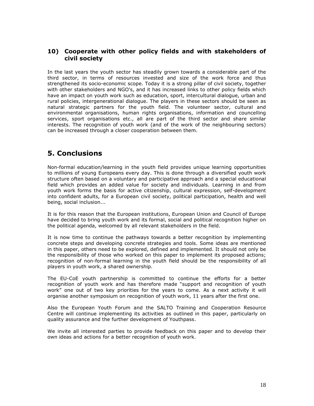#### **10) Cooperate with other policy fields and with stakeholders of civil society**

In the last years the youth sector has steadily grown towards a considerable part of the third sector, in terms of resources invested and size of the work force and thus strengthened its socio-economic scope. Today it is a strong pillar of civil society, together with other stakeholders and NGO's, and it has increased links to other policy fields which have an impact on youth work such as education, sport, intercultural dialogue, urban and rural policies, intergenerational dialogue. The players in these sectors should be seen as natural strategic partners for the youth field. The volunteer sector, cultural and environmental organisations, human rights organisations, information and councelling services, sport organisations etc., all are part of the third sector and share similar interests. The recognition of youth work (and of the work of the neighbouring sectors) can be increased through a closer cooperation between them.

## **5. Conclusions**

Non-formal education/learning in the youth field provides unique learning opportunities to millions of young Europeans every day. This is done through a diversified youth work structure often based on a voluntary and participative approach and a special educational field which provides an added value for society and individuals. Learning in and from youth work forms the basis for active citizenship, cultural expression, self-development into confident adults, for a European civil society, political participation, health and well being, social inclusion...

It is for this reason that the European institutions, European Union and Council of Europe have decided to bring youth work and its formal, social and political recognition higher on the political agenda, welcomed by all relevant stakeholders in the field.

It is now time to continue the pathways towards a better recognition by implementing concrete steps and developing concrete strategies and tools. Some ideas are mentioned in this paper, others need to be explored, defined and implemented. It should not only be the responsibility of those who worked on this paper to implement its proposed actions; recognition of non-formal learning in the youth field should be the responsibility of all players in youth work, a shared ownership.

The EU-CoE youth partnership is committed to continue the efforts for a better recognition of youth work and has therefore made "support and recognition of youth work" one out of two key priorities for the years to come. As a next activity it will organise another symposium on recognition of youth work, 11 years after the first one.

Also the European Youth Forum and the SALTO Training and Cooperation Resource Centre will continue implementing its activities as outlined in this paper, particularly on quality assurance and the further development of Youthpass.

We invite all interested parties to provide feedback on this paper and to develop their own ideas and actions for a better recognition of youth work.